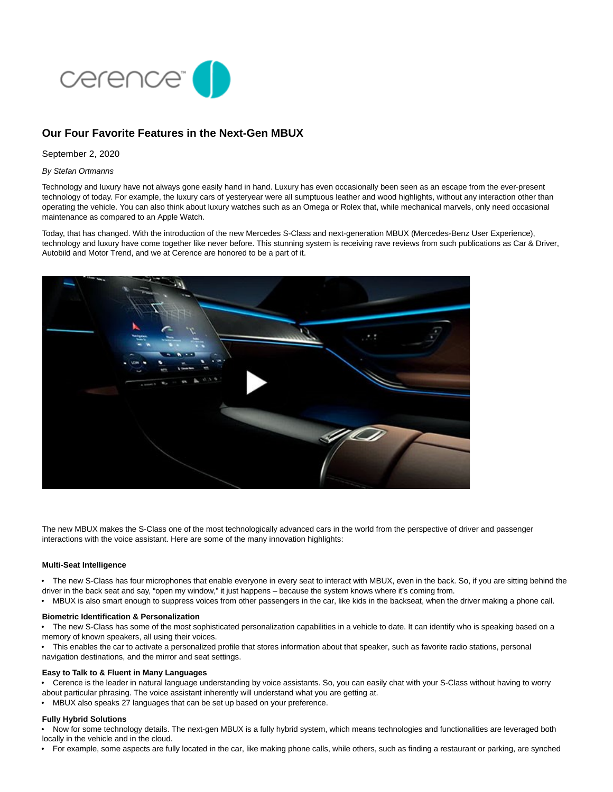

# **Our Four Favorite Features in the Next-Gen MBUX**

## September 2, 2020

## By Stefan Ortmanns

Technology and luxury have not always gone easily hand in hand. Luxury has even occasionally been seen as an escape from the ever-present technology of today. For example, the luxury cars of yesteryear were all sumptuous leather and wood highlights, without any interaction other than operating the vehicle. You can also think about luxury watches such as an Omega or Rolex that, while mechanical marvels, only need occasional maintenance as compared to an Apple Watch.

Today, that has changed. With the introduction of the new Mercedes S-Class and next-generation MBUX (Mercedes-Benz User Experience), technology and luxury have come together like never before. This stunning system is receiving rave reviews from such publications as Car & Driver, Autobild and Motor Trend, and we at Cerence are honored to be a part of it.



The new MBUX makes the S-Class one of the most technologically advanced cars in the world from the perspective of driver and passenger interactions with the voice assistant. Here are some of the many innovation highlights:

## **Multi-Seat Intelligence**

- The new S-Class has four microphones that enable everyone in every seat to interact with MBUX, even in the back. So, if you are sitting behind the
- driver in the back seat and say, "open my window," it just happens because the system knows where it's coming from.
- MBUX is also smart enough to suppress voices from other passengers in the car, like kids in the backseat, when the driver making a phone call.

## **Biometric Identification & Personalization**

• The new S-Class has some of the most sophisticated personalization capabilities in a vehicle to date. It can identify who is speaking based on a memory of known speakers, all using their voices.

• This enables the car to activate a personalized profile that stores information about that speaker, such as favorite radio stations, personal

navigation destinations, and the mirror and seat settings.

### **Easy to Talk to & Fluent in Many Languages**

• Cerence is the leader in natural language understanding by voice assistants. So, you can easily chat with your S-Class without having to worry about particular phrasing. The voice assistant inherently will understand what you are getting at.

• MBUX also speaks 27 languages that can be set up based on your preference.

## **Fully Hybrid Solutions**

• Now for some technology details. The next-gen MBUX is a fully hybrid system, which means technologies and functionalities are leveraged both locally in the vehicle and in the cloud.

• For example, some aspects are fully located in the car, like making phone calls, while others, such as finding a restaurant or parking, are synched